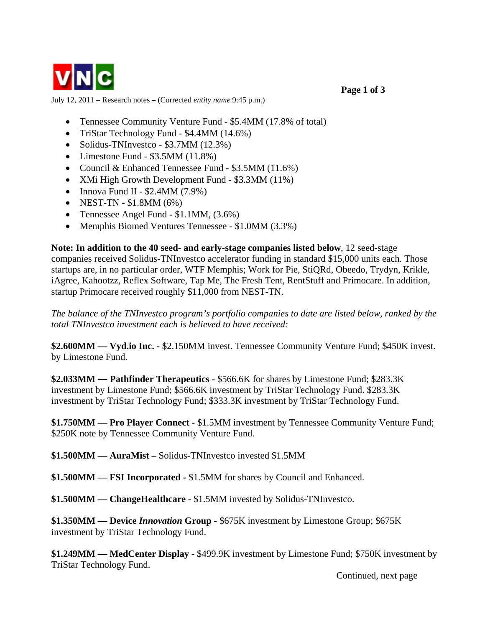

July 12, 2011 – Research notes – (Corrected *entity name* 9:45 p.m.)

- Tennessee Community Venture Fund \$5.4MM (17.8% of total)
- TriStar Technology Fund \$4.4MM (14.6%)
- Solidus-TNInvestco \$3.7MM (12.3%)
- Limestone Fund  $$3.5MM(11.8%)$
- Council & Enhanced Tennessee Fund \$3.5MM (11.6%)
- XMi High Growth Development Fund \$3.3MM (11%)
- Innova Fund II  $$2.4MM (7.9%)$
- NEST-TN  $$1.8MM(6%)$
- Tennessee Angel Fund \$1.1MM,  $(3.6\%)$
- Memphis Biomed Ventures Tennessee \$1.0MM (3.3%)

**Note: In addition to the 40 seed- and early-stage companies listed below**, 12 seed-stage companies received Solidus-TNInvestco accelerator funding in standard \$15,000 units each. Those startups are, in no particular order, WTF Memphis; Work for Pie, StiQRd, Obeedo, Trydyn, Krikle, iAgree, Kahootzz, Reflex Software, Tap Me, The Fresh Tent, RentStuff and Primocare. In addition, startup Primocare received roughly \$11,000 from NEST-TN.

*The balance of the TNInvestco program's portfolio companies to date are listed below, ranked by the total TNInvestco investment each is believed to have received:* 

**\$2.600MM — Vyd.io Inc. -** \$2.150MM invest. Tennessee Community Venture Fund; \$450K invest. by Limestone Fund.

**\$2.033MM — Pathfinder Therapeutics - \$566.6K** for shares by Limestone Fund; \$283.3K investment by Limestone Fund; \$566.6K investment by TriStar Technology Fund. \$283.3K investment by TriStar Technology Fund; \$333.3K investment by TriStar Technology Fund.

**\$1.750MM — Pro Player Connect -** \$1.5MM investment by Tennessee Community Venture Fund; \$250K note by Tennessee Community Venture Fund.

**\$1.500MM — AuraMist –** Solidus-TNInvestco invested \$1.5MM

**\$1.500MM — FSI Incorporated -** \$1.5MM for shares by Council and Enhanced.

**\$1.500MM — ChangeHealthcare -** \$1.5MM invested by Solidus-TNInvestco.

**\$1.350MM — Device** *Innovation* **Group -** \$675K investment by Limestone Group; \$675K investment by TriStar Technology Fund.

**\$1.249MM — MedCenter Display -** \$499.9K investment by Limestone Fund; \$750K investment by TriStar Technology Fund.

Continued, next page

 **Page 1 of 3**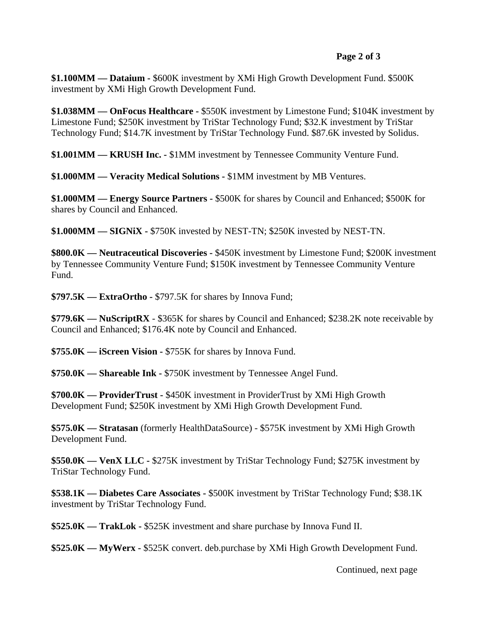## **Page 2 of 3**

**\$1.100MM — Dataium -** \$600K investment by XMi High Growth Development Fund. \$500K investment by XMi High Growth Development Fund.

**\$1.038MM — OnFocus Healthcare -** \$550K investment by Limestone Fund; \$104K investment by Limestone Fund; \$250K investment by TriStar Technology Fund; \$32.K investment by TriStar Technology Fund; \$14.7K investment by TriStar Technology Fund. \$87.6K invested by Solidus.

**\$1.001MM — KRUSH Inc. -** \$1MM investment by Tennessee Community Venture Fund.

**\$1.000MM — Veracity Medical Solutions -** \$1MM investment by MB Ventures.

**\$1.000MM — Energy Source Partners -** \$500K for shares by Council and Enhanced; \$500K for shares by Council and Enhanced.

**\$1.000MM — SIGNiX -** \$750K invested by NEST-TN; \$250K invested by NEST-TN.

**\$800.0K — Neutraceutical Discoveries -** \$450K investment by Limestone Fund; \$200K investment by Tennessee Community Venture Fund; \$150K investment by Tennessee Community Venture Fund.

**\$797.5K — ExtraOrtho -** \$797.5K for shares by Innova Fund;

**\$779.6K — NuScriptRX** - \$365K for shares by Council and Enhanced; \$238.2K note receivable by Council and Enhanced; \$176.4K note by Council and Enhanced.

**\$755.0K — iScreen Vision -** \$755K for shares by Innova Fund.

**\$750.0K — Shareable Ink -** \$750K investment by Tennessee Angel Fund.

**\$700.0K — ProviderTrust -** \$450K investment in ProviderTrust by XMi High Growth Development Fund; \$250K investment by XMi High Growth Development Fund.

**\$575.0K — Stratasan** (formerly HealthDataSource) - \$575K investment by XMi High Growth Development Fund.

**\$550.0K — VenX LLC -** \$275K investment by TriStar Technology Fund; \$275K investment by TriStar Technology Fund.

**\$538.1K — Diabetes Care Associates -** \$500K investment by TriStar Technology Fund; \$38.1K investment by TriStar Technology Fund.

**\$525.0K — TrakLok -** \$525K investment and share purchase by Innova Fund II.

**\$525.0K — MyWerx -** \$525K convert. deb.purchase by XMi High Growth Development Fund.

Continued, next page